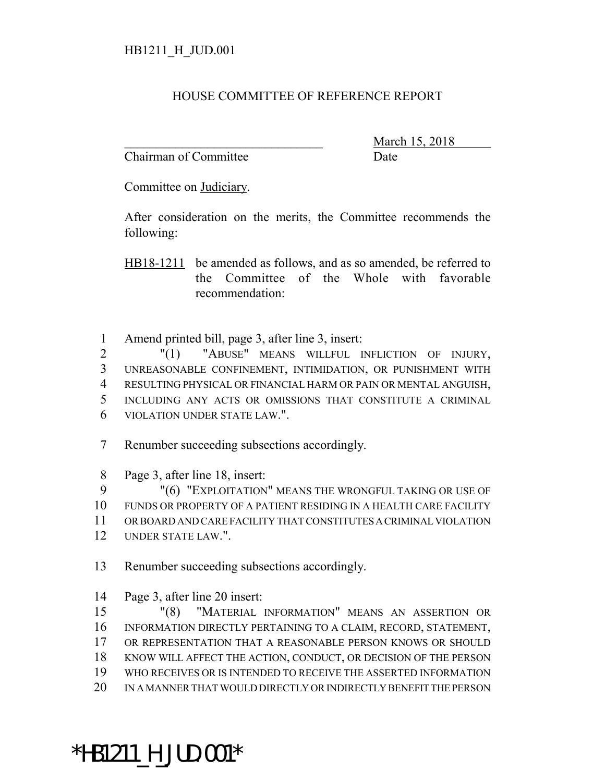## HOUSE COMMITTEE OF REFERENCE REPORT

Chairman of Committee Date

March 15, 2018

Committee on Judiciary.

After consideration on the merits, the Committee recommends the following:

HB18-1211 be amended as follows, and as so amended, be referred to the Committee of the Whole with favorable recommendation:

Amend printed bill, page 3, after line 3, insert:

 "(1) "ABUSE" MEANS WILLFUL INFLICTION OF INJURY, UNREASONABLE CONFINEMENT, INTIMIDATION, OR PUNISHMENT WITH RESULTING PHYSICAL OR FINANCIAL HARM OR PAIN OR MENTAL ANGUISH, INCLUDING ANY ACTS OR OMISSIONS THAT CONSTITUTE A CRIMINAL VIOLATION UNDER STATE LAW.".

Renumber succeeding subsections accordingly.

Page 3, after line 18, insert:

"(6) "EXPLOITATION" MEANS THE WRONGFUL TAKING OR USE OF

 FUNDS OR PROPERTY OF A PATIENT RESIDING IN A HEALTH CARE FACILITY OR BOARD AND CARE FACILITY THAT CONSTITUTES A CRIMINAL VIOLATION

UNDER STATE LAW.".

Renumber succeeding subsections accordingly.

Page 3, after line 20 insert:

 "(8) "MATERIAL INFORMATION" MEANS AN ASSERTION OR INFORMATION DIRECTLY PERTAINING TO A CLAIM, RECORD, STATEMENT, OR REPRESENTATION THAT A REASONABLE PERSON KNOWS OR SHOULD KNOW WILL AFFECT THE ACTION, CONDUCT, OR DECISION OF THE PERSON WHO RECEIVES OR IS INTENDED TO RECEIVE THE ASSERTED INFORMATION IN A MANNER THAT WOULD DIRECTLY OR INDIRECTLY BENEFIT THE PERSON

## \*HB1211\_H\_JUD.001\*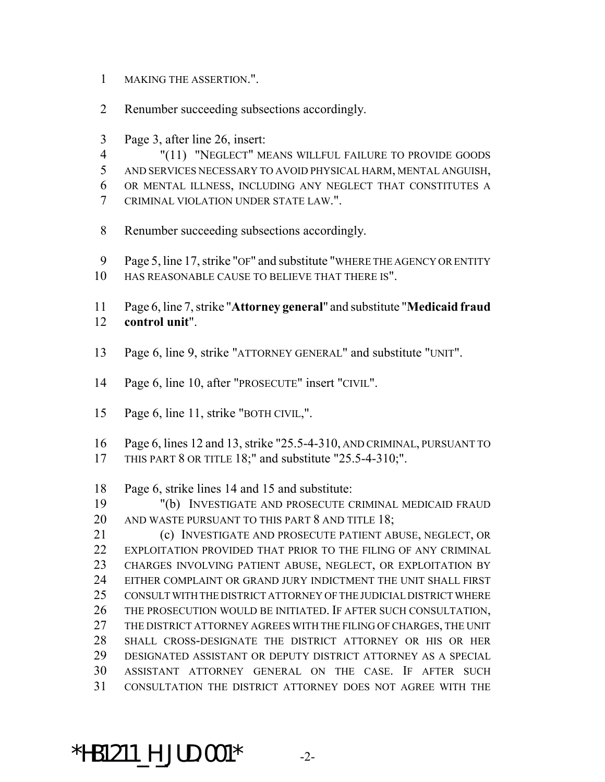- MAKING THE ASSERTION.".
- Renumber succeeding subsections accordingly.
- Page 3, after line 26, insert:

 "(11) "NEGLECT" MEANS WILLFUL FAILURE TO PROVIDE GOODS AND SERVICES NECESSARY TO AVOID PHYSICAL HARM, MENTAL ANGUISH, OR MENTAL ILLNESS, INCLUDING ANY NEGLECT THAT CONSTITUTES A CRIMINAL VIOLATION UNDER STATE LAW.".

- Renumber succeeding subsections accordingly.
- Page 5, line 17, strike "OF" and substitute "WHERE THE AGENCY OR ENTITY
- HAS REASONABLE CAUSE TO BELIEVE THAT THERE IS".

 Page 6, line 7, strike "**Attorney general**" and substitute "**Medicaid fraud control unit**".

- Page 6, line 9, strike "ATTORNEY GENERAL" and substitute "UNIT".
- Page 6, line 10, after "PROSECUTE" insert "CIVIL".
- 15 Page 6, line 11, strike "BOTH CIVIL,".

 Page 6, lines 12 and 13, strike "25.5-4-310, AND CRIMINAL, PURSUANT TO THIS PART 8 OR TITLE 18;" and substitute "25.5-4-310;".

Page 6, strike lines 14 and 15 and substitute:

 "(b) INVESTIGATE AND PROSECUTE CRIMINAL MEDICAID FRAUD AND WASTE PURSUANT TO THIS PART 8 AND TITLE 18;

 (c) INVESTIGATE AND PROSECUTE PATIENT ABUSE, NEGLECT, OR EXPLOITATION PROVIDED THAT PRIOR TO THE FILING OF ANY CRIMINAL CHARGES INVOLVING PATIENT ABUSE, NEGLECT, OR EXPLOITATION BY EITHER COMPLAINT OR GRAND JURY INDICTMENT THE UNIT SHALL FIRST CONSULT WITH THE DISTRICT ATTORNEY OF THE JUDICIAL DISTRICT WHERE THE PROSECUTION WOULD BE INITIATED. IF AFTER SUCH CONSULTATION, THE DISTRICT ATTORNEY AGREES WITH THE FILING OF CHARGES, THE UNIT SHALL CROSS-DESIGNATE THE DISTRICT ATTORNEY OR HIS OR HER DESIGNATED ASSISTANT OR DEPUTY DISTRICT ATTORNEY AS A SPECIAL ASSISTANT ATTORNEY GENERAL ON THE CASE. IF AFTER SUCH CONSULTATION THE DISTRICT ATTORNEY DOES NOT AGREE WITH THE

 $*$ HB1211 H JUD.001 $*$  -2-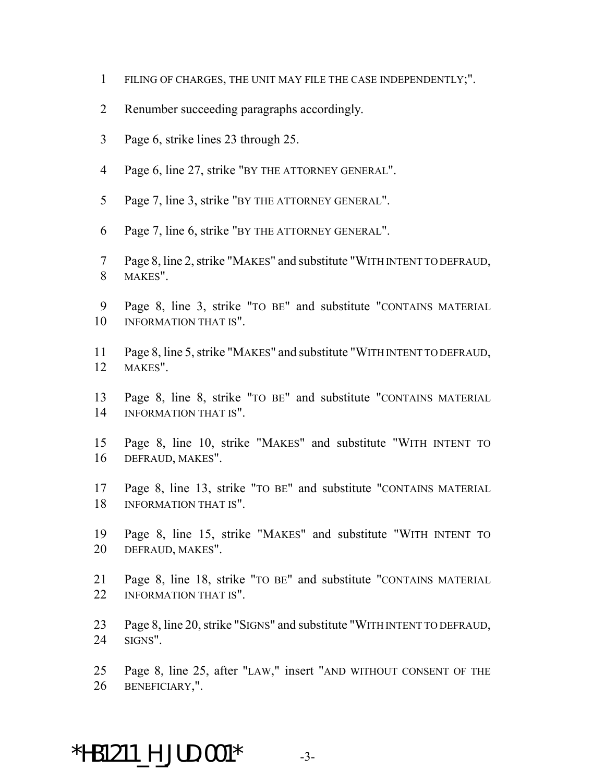- FILING OF CHARGES, THE UNIT MAY FILE THE CASE INDEPENDENTLY;".
- Renumber succeeding paragraphs accordingly.
- Page 6, strike lines 23 through 25.
- Page 6, line 27, strike "BY THE ATTORNEY GENERAL".
- Page 7, line 3, strike "BY THE ATTORNEY GENERAL".
- Page 7, line 6, strike "BY THE ATTORNEY GENERAL".
- Page 8, line 2, strike "MAKES" and substitute "WITH INTENT TO DEFRAUD, MAKES".
- Page 8, line 3, strike "TO BE" and substitute "CONTAINS MATERIAL 10 INFORMATION THAT IS".
- Page 8, line 5, strike "MAKES" and substitute "WITH INTENT TO DEFRAUD, MAKES".
- Page 8, line 8, strike "TO BE" and substitute "CONTAINS MATERIAL INFORMATION THAT IS".
- Page 8, line 10, strike "MAKES" and substitute "WITH INTENT TO DEFRAUD, MAKES".
- Page 8, line 13, strike "TO BE" and substitute "CONTAINS MATERIAL INFORMATION THAT IS".
- Page 8, line 15, strike "MAKES" and substitute "WITH INTENT TO DEFRAUD, MAKES".
- Page 8, line 18, strike "TO BE" and substitute "CONTAINS MATERIAL 22 INFORMATION THAT IS".
- Page 8, line 20, strike "SIGNS" and substitute "WITH INTENT TO DEFRAUD, SIGNS".
- Page 8, line 25, after "LAW," insert "AND WITHOUT CONSENT OF THE BENEFICIARY,".

## $*$ HB1211 H JUD.001 $*$  -3-